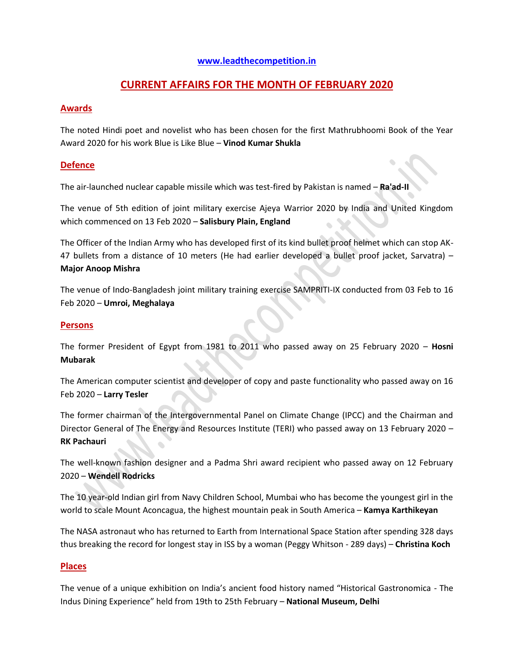#### **[www.leadthecompetition.in](http://www.leadthecompetition.in/)**

# **CURRENT AFFAIRS FOR THE MONTH OF FEBRUARY 2020**

## **Awards**

The noted Hindi poet and novelist who has been chosen for the first Mathrubhoomi Book of the Year Award 2020 for his work Blue is Like Blue – **Vinod Kumar Shukla**

## **Defence**

The air-launched nuclear capable missile which was test-fired by Pakistan is named – **Ra'ad-II**

The venue of 5th edition of joint military exercise Ajeya Warrior 2020 by India and United Kingdom which commenced on 13 Feb 2020 – **Salisbury Plain, England**

The Officer of the Indian Army who has developed first of its kind bullet proof helmet which can stop AK-47 bullets from a distance of 10 meters (He had earlier developed a bullet proof jacket, Sarvatra) – **Major Anoop Mishra**

The venue of Indo-Bangladesh joint military training exercise SAMPRITI-IX conducted from 03 Feb to 16 Feb 2020 – **Umroi, Meghalaya**

## **Persons**

The former President of Egypt from 1981 to 2011 who passed away on 25 February 2020 – **Hosni Mubarak**

The American computer scientist and developer of copy and paste functionality who passed away on 16 Feb 2020 – **Larry Tesler**

The former chairman of the Intergovernmental Panel on Climate Change (IPCC) and the Chairman and Director General of The Energy and Resources Institute (TERI) who passed away on 13 February 2020 – **RK Pachauri**  $\overline{\phantom{a}}$ 

The well-known fashion designer and a Padma Shri award recipient who passed away on 12 February 2020 – **Wendell Rodricks**

The 10 year-old Indian girl from Navy Children School, Mumbai who has become the youngest girl in the world to scale Mount Aconcagua, the highest mountain peak in South America – **Kamya Karthikeyan**

The NASA astronaut who has returned to Earth from International Space Station after spending 328 days thus breaking the record for longest stay in ISS by a woman (Peggy Whitson - 289 days) – **Christina Koch**

## **Places**

The venue of a unique exhibition on India's ancient food history named "Historical Gastronomica - The Indus Dining Experience" held from 19th to 25th February – **National Museum, Delhi**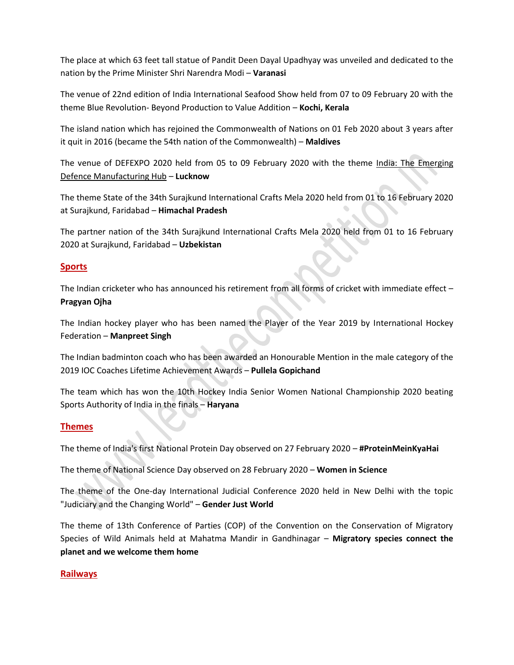The place at which 63 feet tall statue of Pandit Deen Dayal Upadhyay was unveiled and dedicated to the nation by the Prime Minister Shri Narendra Modi – **Varanasi**

The venue of 22nd edition of India International Seafood Show held from 07 to 09 February 20 with the theme Blue Revolution- Beyond Production to Value Addition – **Kochi, Kerala**

The island nation which has rejoined the Commonwealth of Nations on 01 Feb 2020 about 3 years after it quit in 2016 (became the 54th nation of the Commonwealth) – **Maldives**

The venue of DEFEXPO 2020 held from 05 to 09 February 2020 with the theme India: The Emerging Defence Manufacturing Hub – **Lucknow**

The theme State of the 34th Surajkund International Crafts Mela 2020 held from 01 to 16 February 2020 at Surajkund, Faridabad – **Himachal Pradesh**

The partner nation of the 34th Surajkund International Crafts Mela 2020 held from 01 to 16 February 2020 at Surajkund, Faridabad – **Uzbekistan**

## **Sports**

The Indian cricketer who has announced his retirement from all forms of cricket with immediate effect – **Pragyan Ojha**

The Indian hockey player who has been named the Player of the Year 2019 by International Hockey Federation – **Manpreet Singh**

The Indian badminton coach who has been awarded an Honourable Mention in the male category of the 2019 IOC Coaches Lifetime Achievement Awards – **Pullela Gopichand**

The team which has won the 10th Hockey India Senior Women National Championship 2020 beating Sports Authority of India in the finals – **Haryana**

## **Themes**

The theme of India's first National Protein Day observed on 27 February 2020 – **#ProteinMeinKyaHai**

The theme of National Science Day observed on 28 February 2020 – **Women in Science**

The theme of the One-day International Judicial Conference 2020 held in New Delhi with the topic "Judiciary and the Changing World" – **Gender Just World**

The theme of 13th Conference of Parties (COP) of the Convention on the Conservation of Migratory Species of Wild Animals held at Mahatma Mandir in Gandhinagar – **Migratory species connect the planet and we welcome them home**

#### **Railways**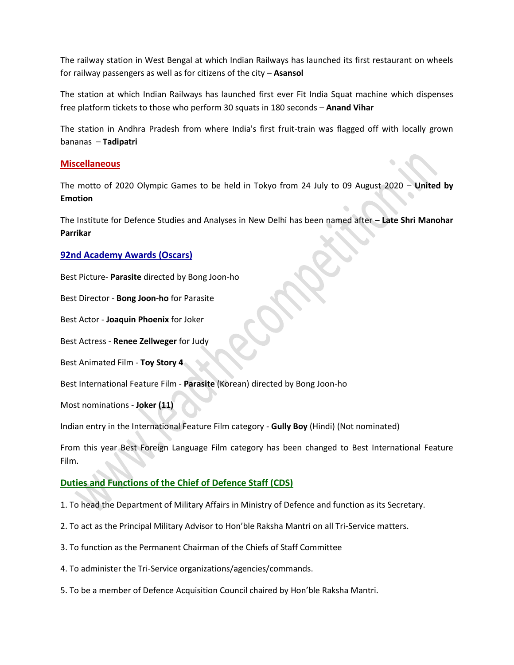The railway station in West Bengal at which Indian Railways has launched its first restaurant on wheels for railway passengers as well as for citizens of the city – **Asansol**

The station at which Indian Railways has launched first ever Fit India Squat machine which dispenses free platform tickets to those who perform 30 squats in 180 seconds – **Anand Vihar**

The station in Andhra Pradesh from where India's first fruit-train was flagged off with locally grown bananas – **Tadipatri**

#### **Miscellaneous**

The motto of 2020 Olympic Games to be held in Tokyo from 24 July to 09 August 2020 – **United by Emotion**

The Institute for Defence Studies and Analyses in New Delhi has been named after – **Late Shri Manohar Parrikar**

## **92nd Academy Awards (Oscars)**

Best Picture- **Parasite** directed by Bong Joon-ho

Best Director - **Bong Joon-ho** for Parasite

Best Actor - **Joaquin Phoenix** for Joker

Best Actress - **Renee Zellweger** for Judy

Best Animated Film - **Toy Story 4**

Best International Feature Film - **Parasite** (Korean) directed by Bong Joon-ho

Most nominations - **Joker (11)**

Indian entry in the International Feature Film category - **Gully Boy** (Hindi) (Not nominated)

From this year Best Foreign Language Film category has been changed to Best International Feature Film.

## **Duties and Functions of the Chief of Defence Staff (CDS)**

- 1. To head the Department of Military Affairs in Ministry of Defence and function as its Secretary.
- 2. To act as the Principal Military Advisor to Hon'ble Raksha Mantri on all Tri-Service matters.
- 3. To function as the Permanent Chairman of the Chiefs of Staff Committee
- 4. To administer the Tri-Service organizations/agencies/commands.
- 5. To be a member of Defence Acquisition Council chaired by Hon'ble Raksha Mantri.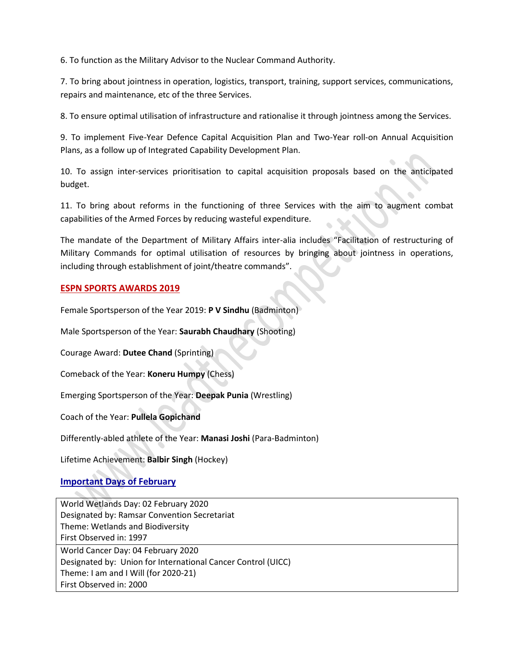6. To function as the Military Advisor to the Nuclear Command Authority.

7. To bring about jointness in operation, logistics, transport, training, support services, communications, repairs and maintenance, etc of the three Services.

8. To ensure optimal utilisation of infrastructure and rationalise it through jointness among the Services.

9. To implement Five-Year Defence Capital Acquisition Plan and Two-Year roll-on Annual Acquisition Plans, as a follow up of Integrated Capability Development Plan.

10. To assign inter-services prioritisation to capital acquisition proposals based on the anticipated budget.

11. To bring about reforms in the functioning of three Services with the aim to augment combat capabilities of the Armed Forces by reducing wasteful expenditure.

The mandate of the Department of Military Affairs inter-alia includes "Facilitation of restructuring of Military Commands for optimal utilisation of resources by bringing about jointness in operations, including through establishment of joint/theatre commands".

## **ESPN SPORTS AWARDS 2019**

Female Sportsperson of the Year 2019: **P V Sindhu** (Badminton)

Male Sportsperson of the Year: **Saurabh Chaudhary** (Shooting)

Courage Award: **Dutee Chand** (Sprinting)

Comeback of the Year: **Koneru Humpy** (Chess)

Emerging Sportsperson of the Year: **Deepak Punia** (Wrestling)

Coach of the Year: **Pullela Gopichand**

Differently-abled athlete of the Year: **Manasi Joshi** (Para-Badminton)

Lifetime Achievement: **Balbir Singh** (Hockey)

## **Important Days of February**

World Wetlands Day: 02 February 2020 Designated by: Ramsar Convention Secretariat Theme: Wetlands and Biodiversity First Observed in: 1997 World Cancer Day: 04 February 2020 Designated by: Union for International Cancer Control (UICC) Theme: I am and I Will (for 2020-21) First Observed in: 2000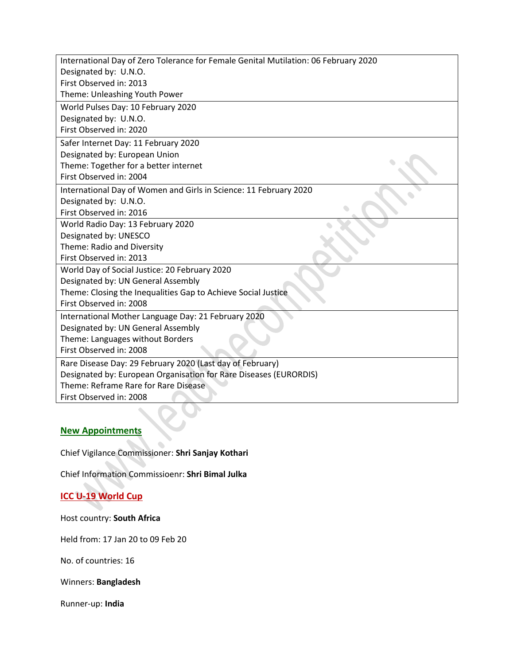| International Day of Zero Tolerance for Female Genital Mutilation: 06 February 2020 |
|-------------------------------------------------------------------------------------|
| Designated by: U.N.O.                                                               |
| First Observed in: 2013                                                             |
| Theme: Unleashing Youth Power                                                       |
| World Pulses Day: 10 February 2020                                                  |
| Designated by: U.N.O.                                                               |
| First Observed in: 2020                                                             |
| Safer Internet Day: 11 February 2020                                                |
| Designated by: European Union                                                       |
| Theme: Together for a better internet                                               |
| First Observed in: 2004                                                             |
| International Day of Women and Girls in Science: 11 February 2020                   |
| Designated by: U.N.O.                                                               |
| First Observed in: 2016                                                             |
| World Radio Day: 13 February 2020                                                   |
| Designated by: UNESCO                                                               |
| Theme: Radio and Diversity                                                          |
| First Observed in: 2013                                                             |
| World Day of Social Justice: 20 February 2020                                       |
| Designated by: UN General Assembly                                                  |
| Theme: Closing the Inequalities Gap to Achieve Social Justice                       |
| First Observed in: 2008                                                             |
| International Mother Language Day: 21 February 2020                                 |
| Designated by: UN General Assembly                                                  |
| Theme: Languages without Borders                                                    |
| First Observed in: 2008                                                             |
| Rare Disease Day: 29 February 2020 (Last day of February)                           |
| Designated by: European Organisation for Rare Diseases (EURORDIS)                   |
| Theme: Reframe Rare for Rare Disease                                                |
| First Observed in: 2008                                                             |

# **New Appointments**

Chief Vigilance Commissioner: **Shri Sanjay Kothari**

Chief Information Commissioenr: **Shri Bimal Julka**

# **ICC U-19 World Cup**

Host country: **South Africa**

Held from: 17 Jan 20 to 09 Feb 20

No. of countries: 16

Winners: **Bangladesh**

Runner-up: **India**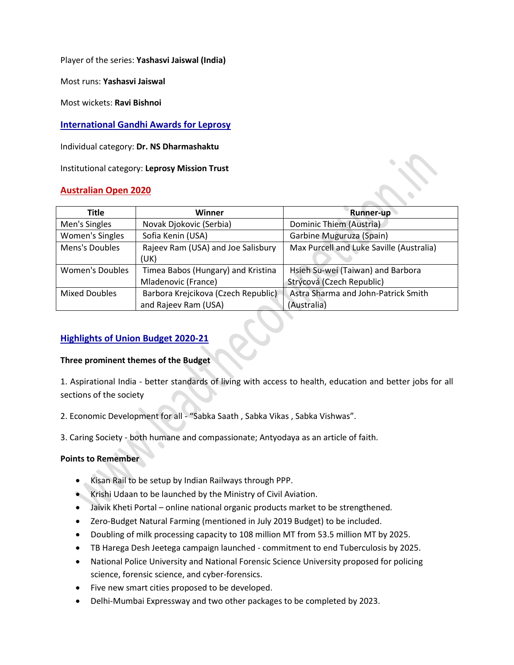Player of the series: **Yashasvi Jaiswal (India)**

Most runs: **Yashasvi Jaiswal**

Most wickets: **Ravi Bishnoi**

## **International Gandhi Awards for Leprosy**

Individual category: **Dr. NS Dharmashaktu**

Institutional category: **Leprosy Mission Trust**

#### **Australian Open 2020**

| <b>Title</b>           | Winner                              | <b>Runner-up</b>                         |
|------------------------|-------------------------------------|------------------------------------------|
| Men's Singles          | Novak Djokovic (Serbia)             | Dominic Thiem (Austria)                  |
| Women's Singles        | Sofia Kenin (USA)                   | Garbine Muguruza (Spain)                 |
| Mens's Doubles         | Rajeev Ram (USA) and Joe Salisbury  | Max Purcell and Luke Saville (Australia) |
|                        | (UK)                                |                                          |
| <b>Women's Doubles</b> | Timea Babos (Hungary) and Kristina  | Hsieh Su-wei (Taiwan) and Barbora        |
|                        | Mladenovic (France)                 | Strýcová (Czech Republic)                |
| <b>Mixed Doubles</b>   | Barbora Krejcikova (Czech Republic) | Astra Sharma and John-Patrick Smith      |
|                        | and Rajeev Ram (USA)                | (Australia)                              |

## **Highlights of Union Budget 2020-21**

#### **Three prominent themes of the Budget**

1. Aspirational India - better standards of living with access to health, education and better jobs for all sections of the society

2. Economic Development for all - "Sabka Saath , Sabka Vikas , Sabka Vishwas".

3. Caring Society - both humane and compassionate; Antyodaya as an article of faith.

#### **Points to Remember**

- Kisan Rail to be setup by Indian Railways through PPP.
- **Krishi Udaan to be launched by the Ministry of Civil Aviation.**
- Jaivik Kheti Portal online national organic products market to be strengthened.
- Zero-Budget Natural Farming (mentioned in July 2019 Budget) to be included.
- Doubling of milk processing capacity to 108 million MT from 53.5 million MT by 2025.
- TB Harega Desh Jeetega campaign launched commitment to end Tuberculosis by 2025.
- National Police University and National Forensic Science University proposed for policing science, forensic science, and cyber-forensics.
- Five new smart cities proposed to be developed.
- Delhi-Mumbai Expressway and two other packages to be completed by 2023.